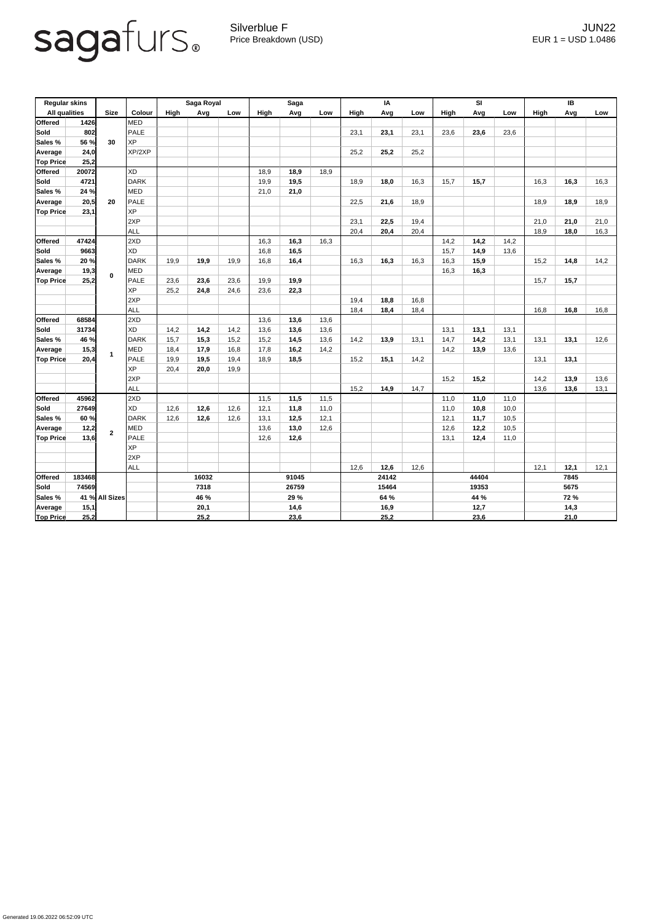

Silverblue F JUN22 Price Breakdown (USD) error and the USD 1.0486

| <b>Regular skins</b><br><b>All qualities</b> |        | <b>Size</b>    | Colour      | Saga Royal |      |      | <b>Saga</b> |      |      | IA                   |      |      | SI          |      |                      | <b>IB</b>   |      |      |  |
|----------------------------------------------|--------|----------------|-------------|------------|------|------|-------------|------|------|----------------------|------|------|-------------|------|----------------------|-------------|------|------|--|
|                                              |        |                |             | High       | Avg  | Low  | High        | Avg  | Low  | High                 | Avg  | Low  | <b>High</b> | Avg  | Low                  | <b>High</b> | Avg  | Low  |  |
| <b>Offered</b>                               | 1426   |                | <b>MED</b>  |            |      |      |             |      |      |                      |      |      |             |      |                      |             |      |      |  |
| <b>Sold</b>                                  | 802    |                | <b>PALE</b> |            |      |      |             |      |      | 23,1                 | 23,1 | 23,1 | 23,6        | 23,6 | 23,6                 |             |      |      |  |
| <b>Sales %</b>                               | 56 %   | 30             | <b>XP</b>   |            |      |      |             |      |      |                      |      |      |             |      |                      |             |      |      |  |
| Average                                      | 24,0   |                | XP/2XP      |            |      |      |             |      |      | 25,2                 | 25,2 | 25,2 |             |      |                      |             |      |      |  |
| <b>Top Price</b>                             | 25,2   |                |             |            |      |      |             |      |      |                      |      |      |             |      |                      |             |      |      |  |
| <b>Offered</b>                               | 20072  |                | <b>XD</b>   |            |      |      | 18,9        | 18,9 | 18,9 |                      |      |      |             |      |                      |             |      |      |  |
| <b>Sold</b>                                  | 4721   | 20             | <b>DARK</b> |            |      |      | 19,9        | 19,5 |      | 18,9                 | 18,0 | 16,3 | 15,7        | 15,7 |                      | 16,3        | 16,3 | 16,3 |  |
| Sales %                                      | 24 %   |                | <b>MED</b>  |            |      |      | 21,0        | 21,0 |      |                      |      |      |             |      |                      |             |      |      |  |
| Average                                      | 20,5   |                | <b>PALE</b> |            |      |      |             |      |      | 22,5                 | 21,6 | 18,9 |             |      |                      | 18,9        | 18,9 | 18,9 |  |
| <b>Top Price</b>                             | 23,1   |                | <b>XP</b>   |            |      |      |             |      |      |                      |      |      |             |      |                      |             |      |      |  |
|                                              |        |                | 2XP         |            |      |      |             |      |      | 23,1                 | 22,5 | 19,4 |             |      |                      | 21,0        | 21,0 | 21,0 |  |
|                                              |        |                | <b>ALL</b>  |            |      |      |             |      |      | 20,4                 | 20,4 | 20,4 |             |      |                      | 18,9        | 18,0 | 16,3 |  |
| <b>Offered</b>                               | 47424  |                | 2XD         |            |      |      | 16,3        | 16,3 | 16,3 |                      |      |      | 14,2        | 14,2 | 14,2                 |             |      |      |  |
| <b>Sold</b>                                  | 9663   |                | <b>XD</b>   |            |      |      | 16,8        | 16,5 |      |                      |      |      | 15,7        | 14,9 | 13,6                 |             |      |      |  |
| Sales %                                      | 20 %   |                | <b>DARK</b> | 19,9       | 19,9 | 19,9 | 16,8        | 16,4 |      | 16,3                 | 16,3 | 16,3 | 16,3        | 15,9 |                      | 15,2        | 14,8 | 14,2 |  |
| Average                                      | 19,3   | $\mathbf 0$    | <b>MED</b>  |            |      |      |             |      |      |                      |      |      | 16,3        | 16,3 |                      |             |      |      |  |
| <b>Top Price</b>                             | 25,2   |                | <b>PALE</b> | 23,6       | 23,6 | 23,6 | 19,9        | 19,9 |      |                      |      |      |             |      |                      | 15,7        | 15,7 |      |  |
|                                              |        |                | <b>XP</b>   | 25,2       | 24,8 | 24,6 | 23,6        | 22,3 |      |                      |      |      |             |      |                      |             |      |      |  |
|                                              |        |                | 2XP         |            |      |      |             |      |      | 19,4                 | 18,8 | 16,8 |             |      |                      |             |      |      |  |
|                                              |        |                | <b>ALL</b>  |            |      |      |             |      |      | 18,4                 | 18,4 | 18,4 |             |      |                      | 16,8        | 16,8 | 16,8 |  |
| <b>Offered</b>                               | 68584  |                | 2XD         |            |      |      | 13,6        | 13,6 | 13,6 |                      |      |      |             |      |                      |             |      |      |  |
| <b>Sold</b>                                  | 31734  |                | <b>XD</b>   | 14,2       | 14,2 | 14,2 | 13,6        | 13,6 | 13,6 |                      |      |      | 13,1        | 13,1 | 13,1                 |             |      |      |  |
| Sales %                                      | 46 %   |                | <b>DARK</b> | 15,7       | 15,3 | 15,2 | 15,2        | 14,5 | 13,6 | 14,2                 | 13,9 | 13,1 | 14,7        | 14,2 | 13,1                 | 13,1        | 13,1 | 12,6 |  |
| Average                                      | 15,3   |                | <b>MED</b>  | 18,4       | 17,9 | 16,8 | 17,8        | 16,2 | 14,2 |                      |      |      | 14,2        | 13,9 | 13,6                 |             |      |      |  |
| <b>Top Price</b>                             | 20,4   |                | PALE        | 19,9       | 19,5 | 19,4 | 18,9        | 18,5 |      | 15,2                 | 15,1 | 14,2 |             |      |                      | 13,1        | 13,1 |      |  |
|                                              |        |                | <b>XP</b>   | 20,4       | 20,0 | 19,9 |             |      |      |                      |      |      |             |      |                      |             |      |      |  |
|                                              |        |                | 2XP         |            |      |      |             |      |      |                      |      |      | 15,2        | 15,2 |                      | 14,2        | 13,9 | 13,6 |  |
|                                              |        |                | ALL         |            |      |      |             |      |      | 15,2                 | 14,9 | 14,7 |             |      |                      | 13,6        | 13,6 | 13,1 |  |
| <b>Offered</b>                               | 45962  |                | 2XD         |            |      |      | 11,5        | 11,5 | 11,5 |                      |      |      | 11,0        | 11,0 | 11,0                 |             |      |      |  |
| <b>Sold</b>                                  | 27649  |                | <b>XD</b>   | 12,6       | 12,6 | 12,6 | 12,1        | 11,8 | 11,0 |                      |      |      | 11,0        | 10,8 | 10,0                 |             |      |      |  |
| Sales %                                      | 60 %   |                | <b>DARK</b> | 12,6       | 12,6 | 12,6 | 13,1        | 12,5 | 12,1 |                      |      |      | 12,1        | 11,7 | 10,5                 |             |      |      |  |
| Average                                      | 12,2   | 2 <sup>1</sup> | MED         |            |      |      | 13,6        | 13,0 | 12,6 |                      |      |      | 12,6        | 12,2 | 10,5                 |             |      |      |  |
| <b>Top Price</b>                             | 13,6   |                | <b>PALE</b> |            |      |      | 12,6        | 12,6 |      |                      |      |      | 13,1        | 12,4 | 11,0                 |             |      |      |  |
|                                              |        |                | <b>XP</b>   |            |      |      |             |      |      |                      |      |      |             |      |                      |             |      |      |  |
|                                              |        |                | 2XP         |            |      |      |             |      |      |                      |      |      |             |      |                      |             |      |      |  |
|                                              |        |                | ALL         |            |      |      |             |      |      | 12,6<br>12,6<br>12,6 |      |      |             |      | 12,1<br>12,1<br>12,1 |             |      |      |  |
| <b>Offered</b>                               | 183468 |                |             | 16032      |      |      | 91045       |      |      | 24142                |      |      | 44404       |      |                      | 7845        |      |      |  |
| <b>Sold</b>                                  | 74569  |                |             | 7318       |      |      | 26759       |      |      | 15464                |      |      | 19353       |      |                      | 5675        |      |      |  |
| Sales %                                      |        | 41 % All Sizes |             | 46 %       |      |      | 29 %        |      |      | 64 %                 |      |      | 44 %        |      |                      | <b>72 %</b> |      |      |  |
| Average                                      | 15,1   |                |             | 20,1       |      |      |             | 14,6 |      |                      | 16,9 |      |             | 12,7 |                      |             | 14,3 |      |  |
| 25,2<br><b>Top Price</b>                     |        |                |             |            | 25,2 |      | 23,6        |      |      | 25,2                 |      |      | 23,6        |      |                      | 21,0        |      |      |  |